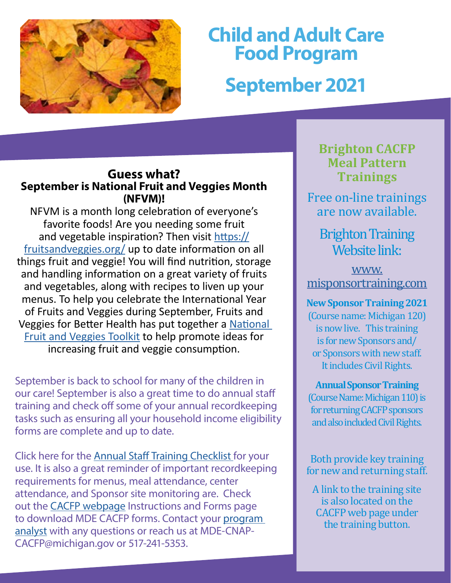

# **Child and Adult Care Food Program September 2021**

#### **Guess what? September is National Fruit and Veggies Mont h (NFVM)!**

NFVM is a month long celebration of everyone's favorite foods! Are you needing some fruit and vegetable inspiration? Then visit [https://](https://fruitsandveggies.org/) [fruitsandveggies.org/](https://fruitsandveggies.org/) up to date information on all things fruit and veggie! You will find nutrition, storage and handling information on a great variety of fruits and vegetables, along with recipes to liven up your menus. To help you celebrate the International Year of Fruits and Veggies during September, Fruits and Veggies for Better Health has put together a [National](https://fruitsandveggies.org/nfvmtoolkit/)  [Fruit and Veggies Toolkit](https://fruitsandveggies.org/nfvmtoolkit/) to help promote ideas for increasing fruit and veggie consumption.

September is back to school for many of the children in our care! September is also a great time to do annual staff training and check off some of your annual recordkeeping tasks such as ensuring all your household income eligibility forms are complete and up to date.

Click here for the [Annual Staff Training Checklist f](https://www.michigan.gov/documents/mde/Annual_Staff_Training_Checklist_534267_7.pdf)or your use. It is also a great reminder of important recordkeeping requirements for menus, meal attendance, center attendance, and Sponsor site monitoring are. Check out the [CACFP webpage](http://www.michigan.gov/cacfp) Instructions and Forms page to download MDE CACFP forms. Contact your [program](https://www.michigan.gov/documents/mde/CACFP_Staff_List_532957_7.pdf)  [analyst](https://www.michigan.gov/documents/mde/CACFP_Staff_List_532957_7.pdf) with any questions or reach us at MDE-CNAP-CACFP@michigan.gov or 517-241-5353.

### **Brighton CACFP Meal Pattern Trainings**

Free on-line trainings are now available.

## Brighton Training Website link:

[www.](http://www.misponsortraining.com) [misponsortraining.com](http://www.misponsortraining.com)

**New Sponsor Training 2021**  (Course name: Michigan 120) is now live. This training is for new Sponsors and/ or Sponsors with new staff. It includes Civil Rights.

**Annual Sponsor Training**  (Course Name: Michigan 110) is for returning CACFP sponsors and also included Civil Rights.

Both provide key training for new and returning staff.

A link to the training site is also located on the CACFP web page under the training button.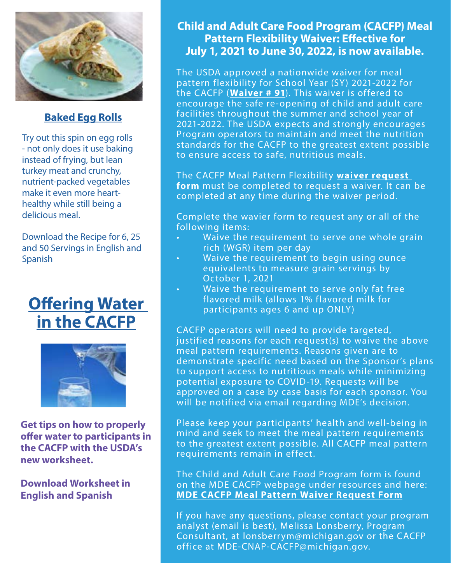

#### **[Baked Egg Rolls](https://gcc02.safelinks.protection.outlook.com/?url=https%3A%2F%2Fr20.rs6.net%2Ftn.jsp%3Ff%3D001IWohIBU-vvEA5mEtAqcri7sgbigA-4MOjqehCEakBIEHwjwgC5JssaTfdpsZ_0x7xUaV4NqAkeaXmjL80uXm8d9Si7t7oJRvpcDI3SusEiuJw3ixGEc89ZWbV-RCx8ZmWXoMmtiCf6BfklMgOnQAdFFri9-LFyEUbTZMjQoMXQtsiXCpjI-_S4RTpc8EYJOFxczr0UjJA5nZv--5v-mikj0Ao6Xo3XcLkJsPbOABrX4%3D%26c%3DKqFXhFc5hm4ANrYNxEIjBHr1v2asHl--P_68Lr11kPcSVB8peOCs7Q%3D%3D%26ch%3DpS9JmtZTJswOI9ppLEeCzwf979caAQz_v06el3fTePoQHXY4A8ImsQ%3D%3D&data=04%7C01%7Cgalbavit%40michigan.gov%7C49c0df3d0c2947964e5408d95c132fd1%7Cd5fb7087377742ad966a892ef47225d1%7C0%7C0%7C637642059751060023%7CUnknown%7CTWFpbGZsb3d8eyJWIjoiMC4wLjAwMDAiLCJQIjoiV2luMzIiLCJBTiI6Ik1haWwiLCJXVCI6Mn0%3D%7C1000&sdata=n7oGM7F8Odh%2FgJMAb5RNb3MCAA4Fs8E9BZC9RT341EY%3D&reserved=0)**

Try out this spin on egg rolls - not only does it use baking instead of frying, but lean turkey meat and crunchy, nutrient-packed vegetables make it even more hearthealthy while still being a delicious meal.

Download the Recipe for 6, 25 and 50 Servings in English and Spanish

# **Offering Water [in the CACFP](https://growthzonesitesprod.azureedge.net/wp-content/uploads/sites/2039/2021/08/USDA-FNS-Offering-Water-in-the-CACFP-EN-SP-cacfp.org_.pdf)**



**Get tips on how to properly offer water to participants in the CACFP with the USDA's new worksheet.**

**Download Worksheet in English and Spanish**

#### **Child and Adult Care Food Program (CACFP) Meal Pattern Flexibility Waiver: Effective for July 1, 2021 to June 30, 2022, is now available.**

The USDA approved a nationwide waiver for meal pattern flexibility for School Year (SY) 2021-2022 for the CACFP (**[Waiver # 91](https://gcc02.safelinks.protection.outlook.com/?url=https%3A%2F%2Ffns-prod.azureedge.net%2Fsites%2Fdefault%2Ffiles%2Fresource-files%2FCOVID19NationwideWaiver91os.pdf&data=04%7C01%7CGalbaviT%40michigan.gov%7Caa13ce630ed34df3e71208d9371006f5%7Cd5fb7087377742ad966a892ef47225d1%7C0%7C0%7C637601364239559241%7CUnknown%7CTWFpbGZsb3d8eyJWIjoiMC4wLjAwMDAiLCJQIjoiV2luMzIiLCJBTiI6Ik1haWwiLCJXVCI6Mn0%3D%7C1000&sdata=blm6o%2B%2BPV8zziUfcATDKWACC8VpPqis3qxmbJANcLU8%3D&reserved=0)**). This waiver is offered to encourage the safe re-opening of child and adult care facilities throughout the summer and school year of 2021-2022. The USDA expects and strongly encourages Program operators to maintain and meet the nutrition standards for the CACFP to the greatest extent possible to ensure access to safe, nutritious meals.

The CACFP Meal Pattern Flexibility **[waiver request](https://gcc02.safelinks.protection.outlook.com/?url=https%3A%2F%2Fforms.office.com%2FPages%2FResponsePage.aspx%3Fid%3Dh3D71Xc3rUKWaoku9HIl0adBQgBF3EpMrfJJyRNd7ZFURUdTSUo1Q0dFNUw1M1VNTFVLWUZKSjc5SC4u&data=04%7C01%7CGalbaviT%40michigan.gov%7Caa13ce630ed34df3e71208d9371006f5%7Cd5fb7087377742ad966a892ef47225d1%7C0%7C0%7C637601364239559241%7CUnknown%7CTWFpbGZsb3d8eyJWIjoiMC4wLjAwMDAiLCJQIjoiV2luMzIiLCJBTiI6Ik1haWwiLCJXVCI6Mn0%3D%7C1000&sdata=jyvMbMUoQd5QRROr9uxG8BK%2FFD70ysF3N%2BloxM1uaTA%3D&reserved=0)  [form](https://gcc02.safelinks.protection.outlook.com/?url=https%3A%2F%2Fforms.office.com%2FPages%2FResponsePage.aspx%3Fid%3Dh3D71Xc3rUKWaoku9HIl0adBQgBF3EpMrfJJyRNd7ZFURUdTSUo1Q0dFNUw1M1VNTFVLWUZKSjc5SC4u&data=04%7C01%7CGalbaviT%40michigan.gov%7Caa13ce630ed34df3e71208d9371006f5%7Cd5fb7087377742ad966a892ef47225d1%7C0%7C0%7C637601364239559241%7CUnknown%7CTWFpbGZsb3d8eyJWIjoiMC4wLjAwMDAiLCJQIjoiV2luMzIiLCJBTiI6Ik1haWwiLCJXVCI6Mn0%3D%7C1000&sdata=jyvMbMUoQd5QRROr9uxG8BK%2FFD70ysF3N%2BloxM1uaTA%3D&reserved=0)** must be completed to request a waiver. It can be completed at any time during the waiver period.

Complete the wavier form to request any or all of the following items:

- Waive the requirement to serve one whole grain rich (WGR) item per day
- Waive the requirement to begin using ounce equivalents to measure grain servings by October 1, 2021
- Waive the requirement to serve only fat free flavored milk (allows 1% flavored milk for participants ages 6 and up ONLY)

CACFP operators will need to provide targeted, justified reasons for each request(s) to waive the above meal pattern requirements. Reasons given are to demonstrate specific need based on the Sponsor's plans to support access to nutritious meals while minimizing potential exposure to COVID-19. Requests will be approved on a case by case basis for each sponsor. You will be notified via email regarding MDE's decision.

Please keep your participants' health and well-being in mind and seek to meet the meal pattern requirements to the greatest extent possible. All CACFP meal pattern requirements remain in effect.

The Child and Adult Care Food Program form is found on the MDE CACFP webpage under resources and here: **[MDE CACFP Meal Pattern Waiver Request Form](https://gcc02.safelinks.protection.outlook.com/?url=https%3A%2F%2Fforms.office.com%2FPages%2FResponsePage.aspx%3Fid%3Dh3D71Xc3rUKWaoku9HIl0adBQgBF3EpMrfJJyRNd7ZFURUdTSUo1Q0dFNUw1M1VNTFVLWUZKSjc5SC4u&data=04%7C01%7CGalbaviT%40michigan.gov%7Caa13ce630ed34df3e71208d9371006f5%7Cd5fb7087377742ad966a892ef47225d1%7C0%7C0%7C637601364239569197%7CUnknown%7CTWFpbGZsb3d8eyJWIjoiMC4wLjAwMDAiLCJQIjoiV2luMzIiLCJBTiI6Ik1haWwiLCJXVCI6Mn0%3D%7C1000&sdata=L4%2BnOWRr4dvhWsWwWpyMN6NK2QESKySiECMRHzkPvn0%3D&reserved=0)**

If you have any questions, please contact your program analyst (email is best), Melissa Lonsberry, Program Consultant, at lonsberrym@michigan.gov or the CACFP office at MDE-CNAP-CACFP@michigan.gov.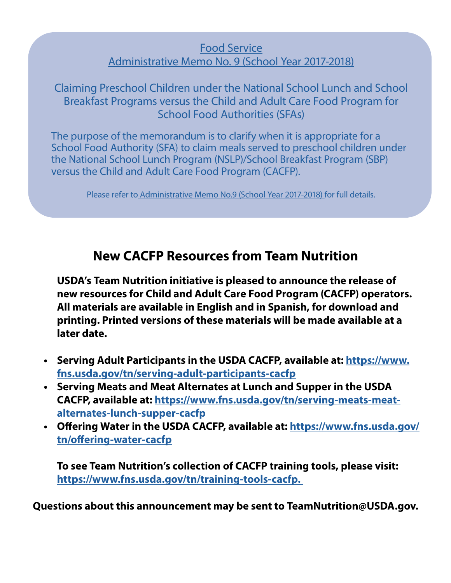#### [Food Service](https://www.michigan.gov/documents/mde/Admin_Memo_No_9_620381_7.pdf) [Administrative Memo No. 9 \(School Year 2017-2018\)](https://www.michigan.gov/documents/mde/Admin_Memo_No_9_620381_7.pdf)

[Claiming Preschool Children under the National School Lunch and School](https://fns-prod.azureedge.net/sites/default/files/resource-files/FiestaMexicanLasagnaCACFPCenterRecipe.pdf)  Breakfast Programs versus the Child and Adult Care Food Program for School Food Authorities (SFAs)

The purpose of the memorandum is to clarify when it is appropriate for a School Food Authority (SFA) to claim meals served to preschool children under the National School Lunch Program (NSLP)/School Breakfast Program (SBP) versus the Child and Adult Care Food Program (CACFP).

Please refer to [Administrative Memo No.9 \(School Year 2017-2018\) f](https://www.michigan.gov/documents/mde/Admin_Memo_No_9_620381_7.pdf)or full details.

### **New CACFP Resources from Team Nutrition**

**USDA's Team Nutrition initiative is pleased to announce the release of new resources for Child and Adult Care Food Program (CACFP) operators. All materials are available in English and in Spanish, for download and printing. Printed versions of these materials will be made available at a later date.** 

- **• Serving Adult Participants in the USDA CACFP, available at: [https://www.](https://gcc02.safelinks.protection.outlook.com/?url=https%3A%2F%2Fwww.fns.usda.gov%2Ftn%2Fserving-adult-participants-cacfp&data=04%7C01%7CGalbaviT%40michigan.gov%7C9127b23a2b9f4c03799808d95c0626a5%7Cd5fb7087377742ad966a892ef47225d1%7C0%7C0%7C637642003747131541%7CUnknown%7CTWFpbGZsb3d8eyJWIjoiMC4wLjAwMDAiLCJQIjoiV2luMzIiLCJBTiI6Ik1haWwiLCJXVCI6Mn0%3D%7C1000&sdata=XxjjJNaNwYtBCkWkBI1%2FrVBVdXVLA1iYr%2BPs6zq5hFM%3D&reserved=0) [fns.usda.gov/tn/serving-adult-participants-cacfp](https://gcc02.safelinks.protection.outlook.com/?url=https%3A%2F%2Fwww.fns.usda.gov%2Ftn%2Fserving-adult-participants-cacfp&data=04%7C01%7CGalbaviT%40michigan.gov%7C9127b23a2b9f4c03799808d95c0626a5%7Cd5fb7087377742ad966a892ef47225d1%7C0%7C0%7C637642003747131541%7CUnknown%7CTWFpbGZsb3d8eyJWIjoiMC4wLjAwMDAiLCJQIjoiV2luMzIiLCJBTiI6Ik1haWwiLCJXVCI6Mn0%3D%7C1000&sdata=XxjjJNaNwYtBCkWkBI1%2FrVBVdXVLA1iYr%2BPs6zq5hFM%3D&reserved=0)**
- **• Serving Meats and Meat Alternates at Lunch and Supper in the USDA CACFP, available at: [https://www.fns.usda.gov/tn/serving-meats-meat](https://gcc02.safelinks.protection.outlook.com/?url=https%3A%2F%2Fwww.fns.usda.gov%2Ftn%2Fserving-meats-meat-alternates-lunch-supper-cacfp&data=04%7C01%7CGalbaviT%40michigan.gov%7C9127b23a2b9f4c03799808d95c0626a5%7Cd5fb7087377742ad966a892ef47225d1%7C0%7C0%7C637642003747131541%7CUnknown%7CTWFpbGZsb3d8eyJWIjoiMC4wLjAwMDAiLCJQIjoiV2luMzIiLCJBTiI6Ik1haWwiLCJXVCI6Mn0%3D%7C1000&sdata=ugDyHaGxjwU9xf%2FvsZ64Wq%2Bo6d5cUYpObDzucCQSpDY%3D&reserved=0)[alternates-lunch-supper-cacfp](https://gcc02.safelinks.protection.outlook.com/?url=https%3A%2F%2Fwww.fns.usda.gov%2Ftn%2Fserving-meats-meat-alternates-lunch-supper-cacfp&data=04%7C01%7CGalbaviT%40michigan.gov%7C9127b23a2b9f4c03799808d95c0626a5%7Cd5fb7087377742ad966a892ef47225d1%7C0%7C0%7C637642003747131541%7CUnknown%7CTWFpbGZsb3d8eyJWIjoiMC4wLjAwMDAiLCJQIjoiV2luMzIiLCJBTiI6Ik1haWwiLCJXVCI6Mn0%3D%7C1000&sdata=ugDyHaGxjwU9xf%2FvsZ64Wq%2Bo6d5cUYpObDzucCQSpDY%3D&reserved=0)**
- **• Offering Water in the USDA CACFP, available at: [https://www.fns.usda.gov/](https://gcc02.safelinks.protection.outlook.com/?url=https%3A%2F%2Fwww.fns.usda.gov%2Ftn%2Foffering-water-cacfp&data=04%7C01%7CGalbaviT%40michigan.gov%7C9127b23a2b9f4c03799808d95c0626a5%7Cd5fb7087377742ad966a892ef47225d1%7C0%7C0%7C637642003747141497%7CUnknown%7CTWFpbGZsb3d8eyJWIjoiMC4wLjAwMDAiLCJQIjoiV2luMzIiLCJBTiI6Ik1haWwiLCJXVCI6Mn0%3D%7C1000&sdata=pEdBCNJFAmMA9XSBZYgl0LgJ3BuD6Ekfeh0UOAZma3U%3D&reserved=0) [tn/offering-water-cacfp](https://gcc02.safelinks.protection.outlook.com/?url=https%3A%2F%2Fwww.fns.usda.gov%2Ftn%2Foffering-water-cacfp&data=04%7C01%7CGalbaviT%40michigan.gov%7C9127b23a2b9f4c03799808d95c0626a5%7Cd5fb7087377742ad966a892ef47225d1%7C0%7C0%7C637642003747141497%7CUnknown%7CTWFpbGZsb3d8eyJWIjoiMC4wLjAwMDAiLCJQIjoiV2luMzIiLCJBTiI6Ik1haWwiLCJXVCI6Mn0%3D%7C1000&sdata=pEdBCNJFAmMA9XSBZYgl0LgJ3BuD6Ekfeh0UOAZma3U%3D&reserved=0)**

**To see Team Nutrition's collection of CACFP training tools, please visit: [https://www.fns.usda.gov/tn/training-tools-cacfp.](https://gcc02.safelinks.protection.outlook.com/?url=https%3A%2F%2Fwww.fns.usda.gov%2Ftn%2Ftraining-tools-cacfp&data=04%7C01%7CGalbaviT%40michigan.gov%7C9127b23a2b9f4c03799808d95c0626a5%7Cd5fb7087377742ad966a892ef47225d1%7C0%7C0%7C637642003747141497%7CUnknown%7CTWFpbGZsb3d8eyJWIjoiMC4wLjAwMDAiLCJQIjoiV2luMzIiLCJBTiI6Ik1haWwiLCJXVCI6Mn0%3D%7C1000&sdata=Hdu33OXyT7qkN44%2F6jhmyaiOROqpyGjCP1FEkTsiEoI%3D&reserved=0)** 

**Questions about this announcement may be sent to TeamNutrition@USDA.gov.**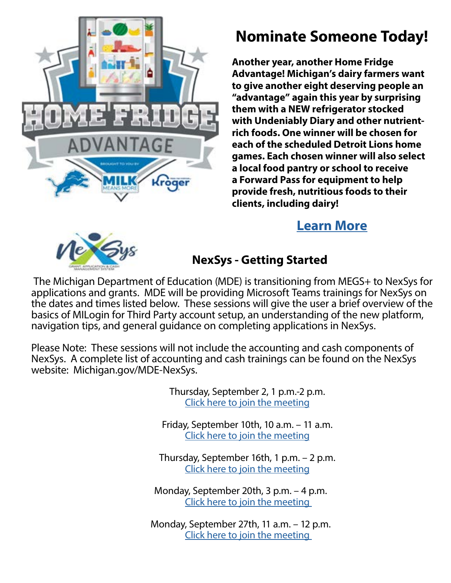

# **Nominate Someone Today!**

**Another year, another Home Fridge Advantage! Michigan's dairy farmers want to give another eight deserving people an "advantage" again this year by surprising them with a NEW refrigerator stocked with Undeniably Diary and other nutrientrich foods. One winner will be chosen for each of the scheduled Detroit Lions home games. Each chosen winner will also select a local food pantry or school to receive a Forward Pass for equipment to help provide fresh, nutritious foods to their clients, including dairy!** 

### **[Learn More](https://www.milkmeansmore.org/home-fridge/)**



### **NexSys - Getting Started**

 The Michigan Department of Education (MDE) is transitioning from MEGS+ to NexSys for applications and grants. MDE will be providing Microsoft Teams trainings for NexSys on the dates and times listed below. These sessions will give the user a brief overview of the basics of MILogin for Third Party account setup, an understanding of the new platform, navigation tips, and general guidance on completing applications in NexSys.

Please Note: These sessions will not include the accounting and cash components of NexSys. A complete list of accounting and cash trainings can be found on the NexSys website: Michigan.gov/MDE-NexSys.

> Thursday, September 2, 1 p.m.-2 p.m. [Click here to join the meeting](https://teams.microsoft.com/l/meetup-join/19%3ameeting_NWMzZTY0MzktNjkyZC00ZGEwLTkwNGUtYWMyZDM3M2RiNTMz%40thread.v2/0?context=%7b%22Tid%22%3a%22d5fb7087-3777-42ad-966a-892ef47225d1%22%2c%22Oid%22%3a%22b5700645-051c-4201-a0dd-498961652b05%22%7d)

Friday, September 10th, 10 a.m. – 11 a.m. [Click here to join the meeting](https://teams.microsoft.com/l/meetup-join/19%3ameeting_ZjFhNDYyY2UtMGQyMy00MTI1LWE5YzEtN2M5ZjNlOGZkOTgw%40thread.v2/0?context=%7b%22Tid%22%3a%22d5fb7087-3777-42ad-966a-892ef47225d1%22%2c%22Oid%22%3a%22b5700645-051c-4201-a0dd-498961652b05%22%7d)

Thursday, September 16th, 1 p.m. – 2 p.m. [Click here to join the meeting](https://teams.microsoft.com/l/meetup-join/19%3ameeting_NjkxMjVmMzctYjRiZS00NGY3LWFmZWEtODA3OTgwNTQ5NTI4%40thread.v2/0?context=%7b%22Tid%22%3a%22d5fb7087-3777-42ad-966a-892ef47225d1%22%2c%22Oid%22%3a%22b5700645-051c-4201-a0dd-498961652b05%22%7d)

Monday, September 20th, 3 p.m. – 4 p.m. [Click here to join the meeting](https://teams.microsoft.com/l/meetup-join/19%3ameeting_YjI1MTRkMTMtZjRkZC00NmU5LTg5MGEtMTJjYzMwNjNlNDM3%40thread.v2/0?context=%7b%22Tid%22%3a%22d5fb7087-3777-42ad-966a-892ef47225d1%22%2c%22Oid%22%3a%22b5700645-051c-4201-a0dd-498961652b05%22%7d) 

Monday, September 27th, 11 a.m. – 12 p.m. [Click here to join the meeting](https://teams.microsoft.com/l/meetup-join/19%3ameeting_NmJmZWM3M2QtZTc2Ny00OTA3LTk0MmUtNDEyY2M5ZDNmMjY4%40thread.v2/0?context=%7b%22Tid%22%3a%22d5fb7087-3777-42ad-966a-892ef47225d1%22%2c%22Oid%22%3a%22b5700645-051c-4201-a0dd-498961652b05%22%7d)